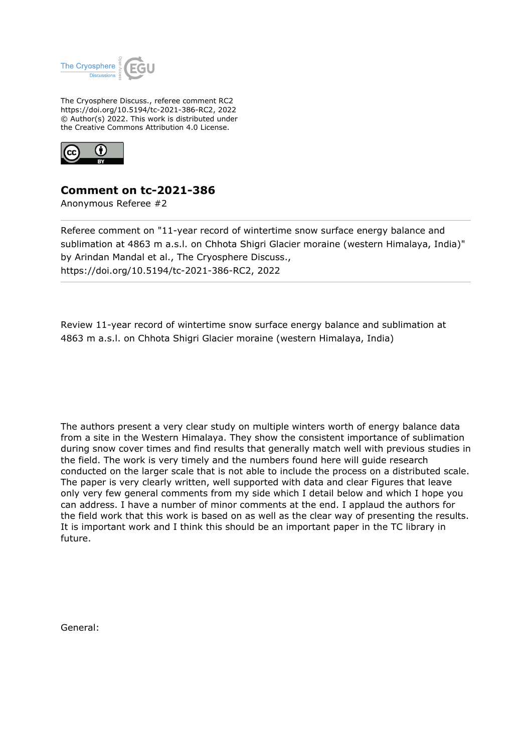

The Cryosphere Discuss., referee comment RC2 https://doi.org/10.5194/tc-2021-386-RC2, 2022 © Author(s) 2022. This work is distributed under the Creative Commons Attribution 4.0 License.



## **Comment on tc-2021-386**

Anonymous Referee #2

Referee comment on "11-year record of wintertime snow surface energy balance and sublimation at 4863 m a.s.l. on Chhota Shigri Glacier moraine (western Himalaya, India)" by Arindan Mandal et al., The Cryosphere Discuss., https://doi.org/10.5194/tc-2021-386-RC2, 2022

Review 11-year record of wintertime snow surface energy balance and sublimation at 4863 m a.s.l. on Chhota Shigri Glacier moraine (western Himalaya, India)

The authors present a very clear study on multiple winters worth of energy balance data from a site in the Western Himalaya. They show the consistent importance of sublimation during snow cover times and find results that generally match well with previous studies in the field. The work is very timely and the numbers found here will guide research conducted on the larger scale that is not able to include the process on a distributed scale. The paper is very clearly written, well supported with data and clear Figures that leave only very few general comments from my side which I detail below and which I hope you can address. I have a number of minor comments at the end. I applaud the authors for the field work that this work is based on as well as the clear way of presenting the results. It is important work and I think this should be an important paper in the TC library in future.

General: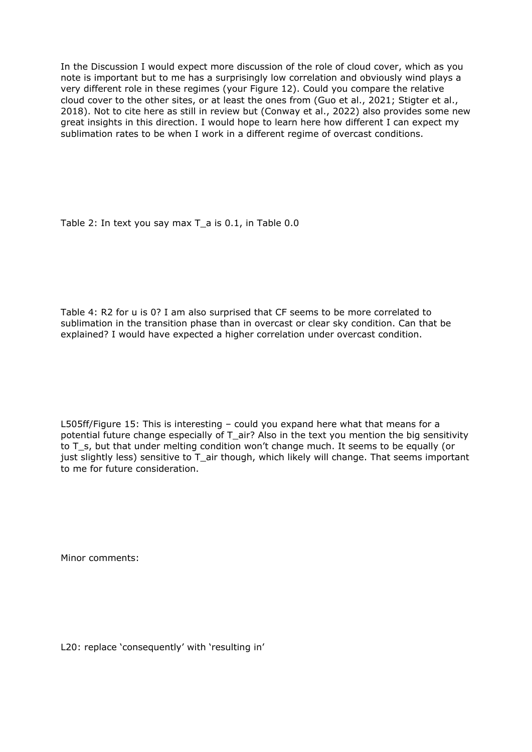In the Discussion I would expect more discussion of the role of cloud cover, which as you note is important but to me has a surprisingly low correlation and obviously wind plays a very different role in these regimes (your Figure 12). Could you compare the relative cloud cover to the other sites, or at least the ones from (Guo et al., 2021; Stigter et al., 2018). Not to cite here as still in review but (Conway et al., 2022) also provides some new great insights in this direction. I would hope to learn here how different I can expect my sublimation rates to be when I work in a different regime of overcast conditions.

Table 2: In text you say max T\_a is 0.1, in Table 0.0

Table 4: R2 for u is 0? I am also surprised that CF seems to be more correlated to sublimation in the transition phase than in overcast or clear sky condition. Can that be explained? I would have expected a higher correlation under overcast condition.

L505ff/Figure 15: This is interesting – could you expand here what that means for a potential future change especially of T air? Also in the text you mention the big sensitivity to T s, but that under melting condition won't change much. It seems to be equally (or just slightly less) sensitive to T air though, which likely will change. That seems important to me for future consideration.

Minor comments:

L20: replace 'consequently' with 'resulting in'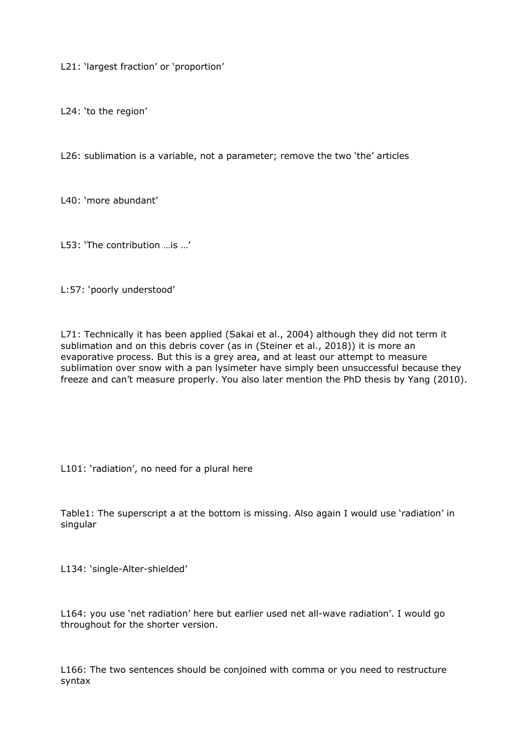L21: 'largest fraction' or 'proportion'

L24: 'to the region'

L26: sublimation is a variable, not a parameter; remove the two 'the' articles

L40: 'more abundant'

L53: 'The contribution …is …'

L:57: 'poorly understood'

L71: Technically it has been applied (Sakai et al., 2004) although they did not term it sublimation and on this debris cover (as in (Steiner et al., 2018)) it is more an evaporative process. But this is a grey area, and at least our attempt to measure sublimation over snow with a pan lysimeter have simply been unsuccessful because they freeze and can't measure properly. You also later mention the PhD thesis by Yang (2010).

L101: 'radiation', no need for a plural here

Table1: The superscript a at the bottom is missing. Also again I would use 'radiation' in singular

L134: 'single-Alter-shielded'

L164: you use 'net radiation' here but earlier used net all-wave radiation'. I would go throughout for the shorter version.

L166: The two sentences should be conjoined with comma or you need to restructure syntax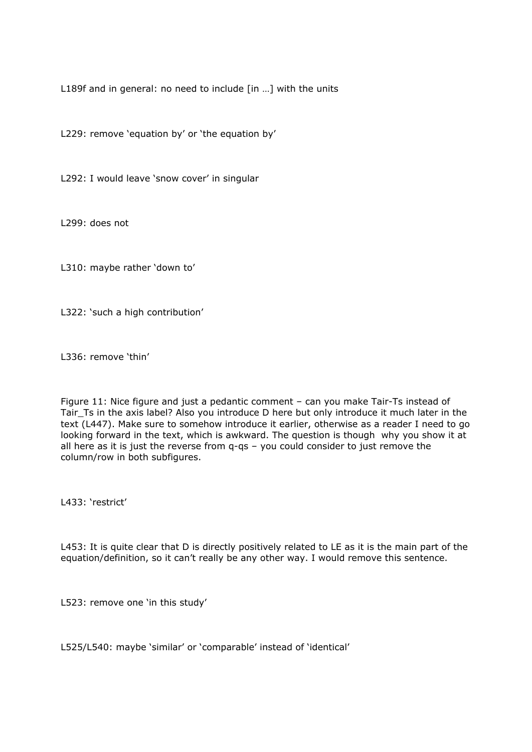L189f and in general: no need to include [in …] with the units

L229: remove 'equation by' or 'the equation by'

L292: I would leave 'snow cover' in singular

L299: does not

L310: maybe rather 'down to'

L322: 'such a high contribution'

L336: remove 'thin'

Figure 11: Nice figure and just a pedantic comment – can you make Tair-Ts instead of Tair Ts in the axis label? Also you introduce D here but only introduce it much later in the text (L447). Make sure to somehow introduce it earlier, otherwise as a reader I need to go looking forward in the text, which is awkward. The question is though why you show it at all here as it is just the reverse from q-qs – you could consider to just remove the column/row in both subfigures.

L433: 'restrict'

L453: It is quite clear that D is directly positively related to LE as it is the main part of the equation/definition, so it can't really be any other way. I would remove this sentence.

L523: remove one 'in this study'

L525/L540: maybe 'similar' or 'comparable' instead of 'identical'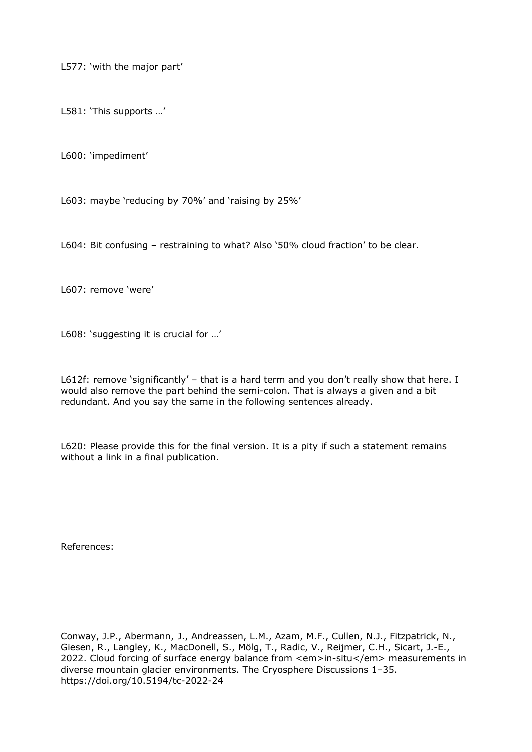L577: 'with the major part'

L581: 'This supports …'

L600: 'impediment'

L603: maybe 'reducing by 70%' and 'raising by 25%'

L604: Bit confusing – restraining to what? Also '50% cloud fraction' to be clear.

L607: remove 'were'

L608: 'suggesting it is crucial for …'

L612f: remove 'significantly' - that is a hard term and you don't really show that here. I would also remove the part behind the semi-colon. That is always a given and a bit redundant. And you say the same in the following sentences already.

L620: Please provide this for the final version. It is a pity if such a statement remains without a link in a final publication.

References:

Conway, J.P., Abermann, J., Andreassen, L.M., Azam, M.F., Cullen, N.J., Fitzpatrick, N., Giesen, R., Langley, K., MacDonell, S., Mölg, T., Radic, V., Reijmer, C.H., Sicart, J.-E., 2022. Cloud forcing of surface energy balance from <em>in-situ</em> measurements in diverse mountain glacier environments. The Cryosphere Discussions 1–35. https://doi.org/10.5194/tc-2022-24